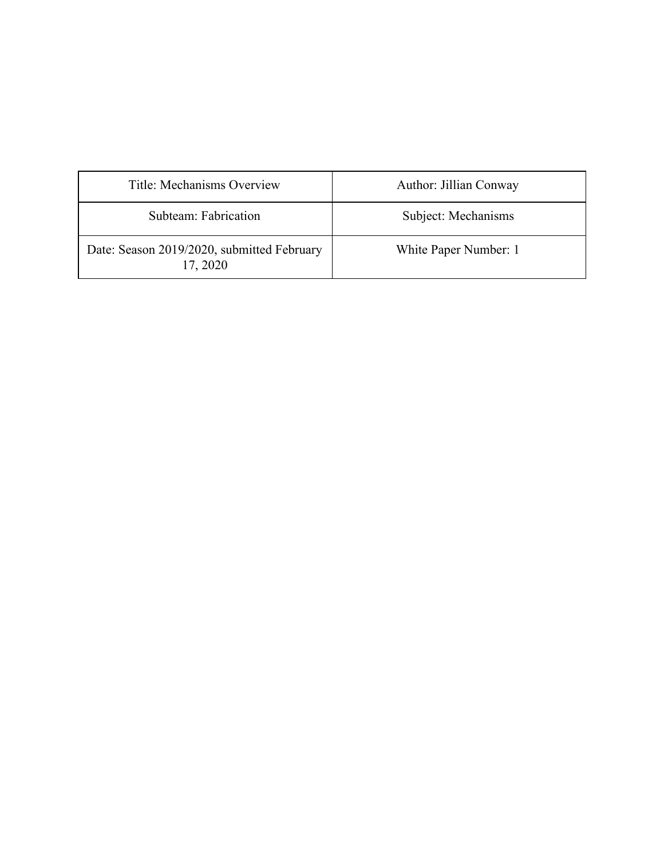| Title: Mechanisms Overview                             | Author: Jillian Conway |
|--------------------------------------------------------|------------------------|
| Subteam: Fabrication                                   | Subject: Mechanisms    |
| Date: Season 2019/2020, submitted February<br>17, 2020 | White Paper Number: 1  |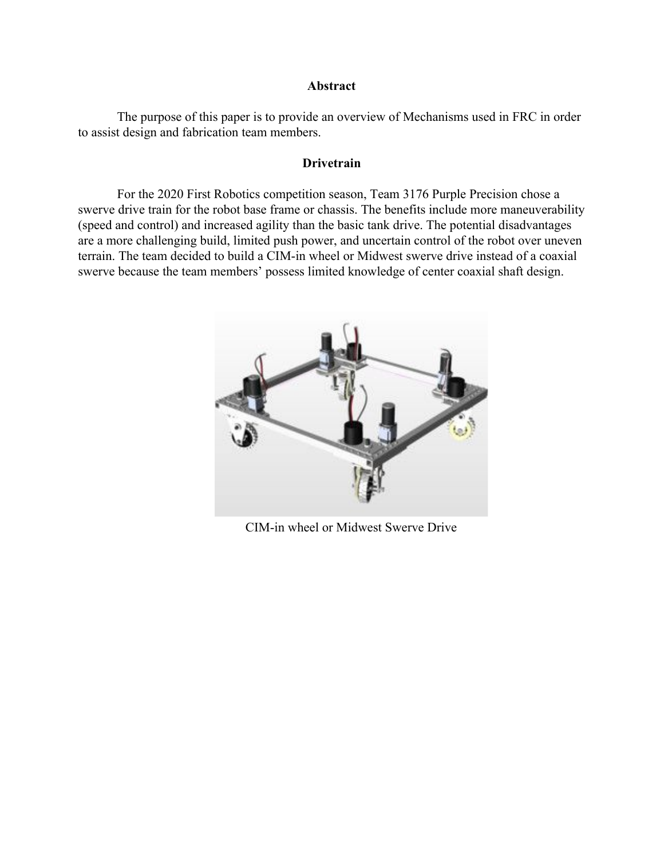#### **Abstract**

The purpose of this paper is to provide an overview of Mechanisms used in FRC in order to assist design and fabrication team members.

## **Drivetrain**

For the 2020 First Robotics competition season, Team 3176 Purple Precision chose a swerve drive train for the robot base frame or chassis. The benefits include more maneuverability (speed and control) and increased agility than the basic tank drive. The potential disadvantages are a more challenging build, limited push power, and uncertain control of the robot over uneven terrain. The team decided to build a CIM-in wheel or Midwest swerve drive instead of a coaxial swerve because the team members' possess limited knowledge of center coaxial shaft design.



CIM-in wheel or Midwest Swerve Drive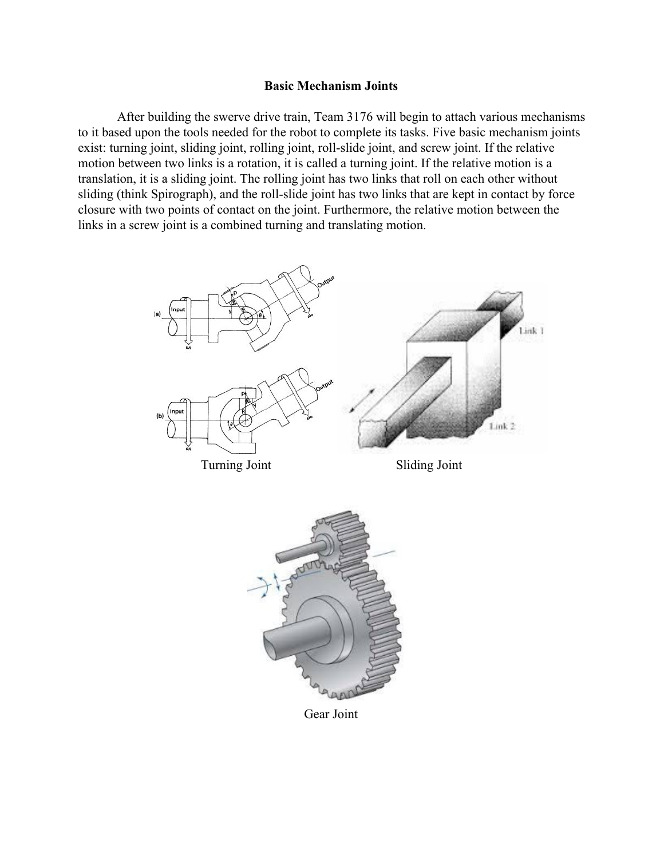#### **Basic Mechanism Joints**

After building the swerve drive train, Team 3176 will begin to attach various mechanisms to it based upon the tools needed for the robot to complete its tasks. Five basic mechanism joints exist: turning joint, sliding joint, rolling joint, roll-slide joint, and screw joint. If the relative motion between two links is a rotation, it is called a turning joint. If the relative motion is a translation, it is a sliding joint. The rolling joint has two links that roll on each other without sliding (think Spirograph), and the roll-slide joint has two links that are kept in contact by force closure with two points of contact on the joint. Furthermore, the relative motion between the links in a screw joint is a combined turning and translating motion.



Gear Joint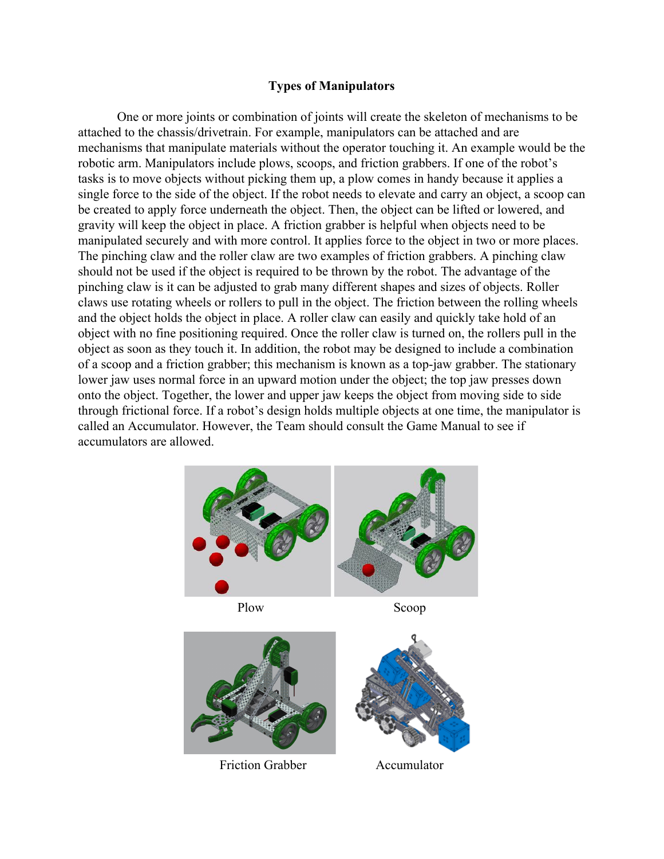# **Types of Manipulators**

One or more joints or combination of joints will create the skeleton of mechanisms to be attached to the chassis/drivetrain. For example, manipulators can be attached and are mechanisms that manipulate materials without the operator touching it. An example would be the robotic arm. Manipulators include plows, scoops, and friction grabbers. If one of the robot's tasks is to move objects without picking them up, a plow comes in handy because it applies a single force to the side of the object. If the robot needs to elevate and carry an object, a scoop can be created to apply force underneath the object. Then, the object can be lifted or lowered, and gravity will keep the object in place. A friction grabber is helpful when objects need to be manipulated securely and with more control. It applies force to the object in two or more places. The pinching claw and the roller claw are two examples of friction grabbers. A pinching claw should not be used if the object is required to be thrown by the robot. The advantage of the pinching claw is it can be adjusted to grab many different shapes and sizes of objects. Roller claws use rotating wheels or rollers to pull in the object. The friction between the rolling wheels and the object holds the object in place. A roller claw can easily and quickly take hold of an object with no fine positioning required. Once the roller claw is turned on, the rollers pull in the object as soon as they touch it. In addition, the robot may be designed to include a combination of a scoop and a friction grabber; this mechanism is known as a top-jaw grabber. The stationary lower jaw uses normal force in an upward motion under the object; the top jaw presses down onto the object. Together, the lower and upper jaw keeps the object from moving side to side through frictional force. If a robot's design holds multiple objects at one time, the manipulator is called an Accumulator. However, the Team should consult the Game Manual to see if accumulators are allowed.



Friction Grabber **Accumulator**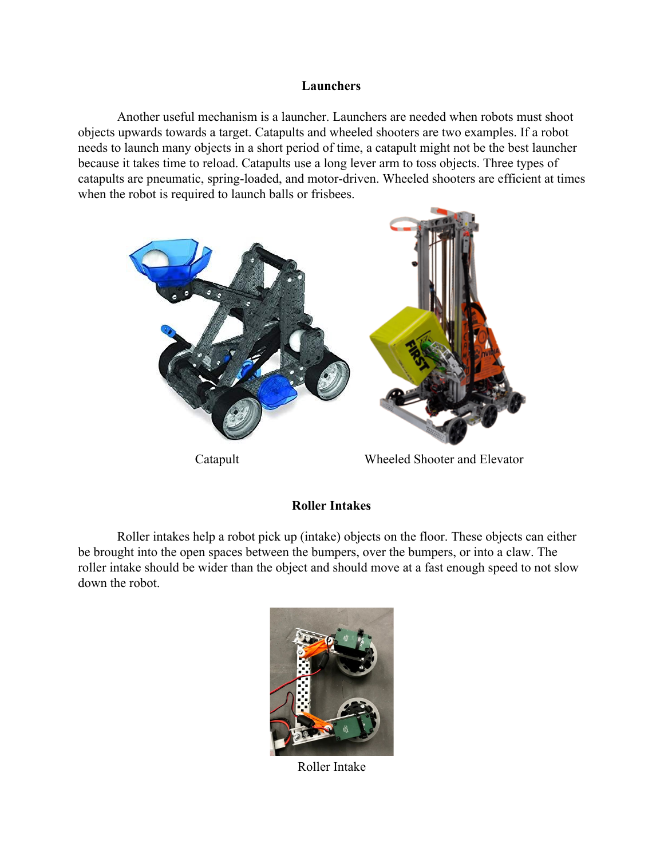### **Launchers**

Another useful mechanism is a launcher. Launchers are needed when robots must shoot objects upwards towards a target. Catapults and wheeled shooters are two examples. If a robot needs to launch many objects in a short period of time, a catapult might not be the best launcher because it takes time to reload. Catapults use a long lever arm to toss objects. Three types of catapults are pneumatic, spring-loaded, and motor-driven. Wheeled shooters are efficient at times when the robot is required to launch balls or frisbees.



## **Roller Intakes**

Roller intakes help a robot pick up (intake) objects on the floor. These objects can either be brought into the open spaces between the bumpers, over the bumpers, or into a claw. The roller intake should be wider than the object and should move at a fast enough speed to not slow down the robot.



Roller Intake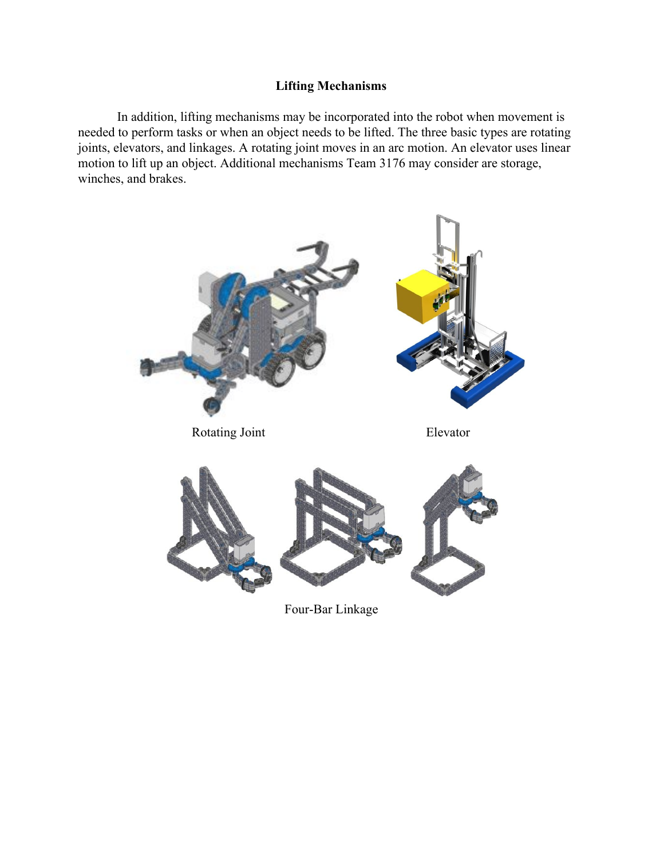# **Lifting Mechanisms**

In addition, lifting mechanisms may be incorporated into the robot when movement is needed to perform tasks or when an object needs to be lifted. The three basic types are rotating joints, elevators, and linkages. A rotating joint moves in an arc motion. An elevator uses linear motion to lift up an object. Additional mechanisms Team 3176 may consider are storage, winches, and brakes.



Four-Bar Linkage